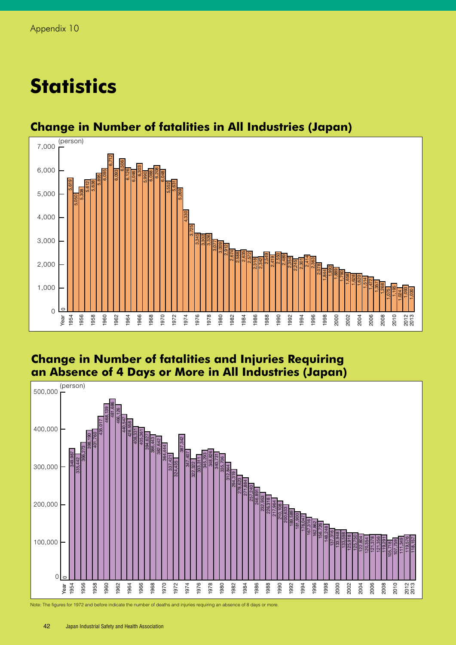# **Statistics**



## **Change in Number of fatalities in All Industries (Japan)**

### **Change in Number of fatalities and Injuries Requiring an Absence of 4 Days or More in All Industries (Japan)**



Note: The figures for 1972 and before indicate the number of deaths and injuries requiring an absence of 8 days or more.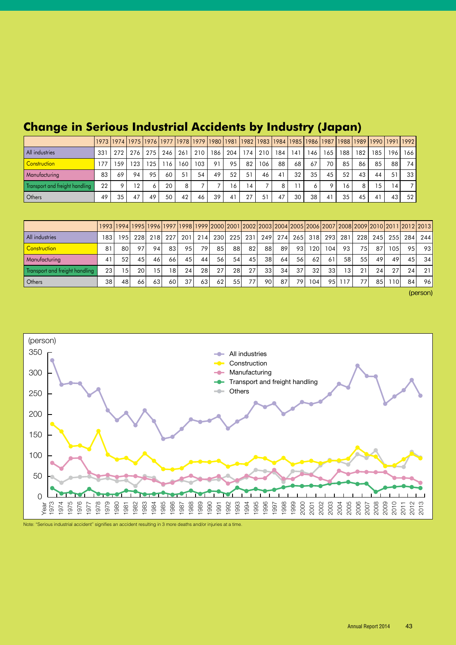|                                |     |         |                 |     |                 |                |     |     |     |                |     | 1973   1974   1975   1976   1977   1978   1979   1980   1981   1982   1983   1984   1985   1986   1987   1988   1989   1990   1991   1992 |     |     |     |    |     |     |                  |                 |
|--------------------------------|-----|---------|-----------------|-----|-----------------|----------------|-----|-----|-----|----------------|-----|-------------------------------------------------------------------------------------------------------------------------------------------|-----|-----|-----|----|-----|-----|------------------|-----------------|
| All industries                 | 331 | 272     | 276             | 275 | 246             | 261            | 210 | 186 | 204 | 174            | 210 | 184                                                                                                                                       | 141 | 146 | 165 | 88 | 182 | 185 | 196 <sub>1</sub> | 166             |
| <b>Construction</b>            |     | 59      | 23              | 125 | <sup>-</sup> 16 | 160            | 103 | 91  | 95  | 82             | 106 | 88                                                                                                                                        | 68  | 67  | 70  | 85 | 86  | 85  | 88               | 74              |
| Manufacturing                  | 83  | 69      | 94              | 95  | 60              | 51             | 54  | 49  | 52  | 51             | 46  | 41                                                                                                                                        | 32  | 35  | 45  | 52 | 43  | 44  | 51               | 33 <sup>1</sup> |
| Transport and freight handling | 22  | $\circ$ | 12 <sup>°</sup> |     | 20              | 8 <sub>1</sub> |     |     | 16  | $\overline{4}$ |     |                                                                                                                                           |     |     | о   | 16 | 8   | 15  | 14               |                 |
| Others                         | 49  | 35      | 47              | 49  | 50              | 42             | 46  | 39  | 41  | 27             | 51  | 47                                                                                                                                        | 30  | 38  | 41  | 35 | 45  | 41  | 43               | 52              |

## **Change in Serious Industrial Accidents by Industry (Japan)**

|                                |     | 1993  1994  1995  1996  1997  1998  1999  2000  2001  2002  2003  2004  2005  2006  2007  2008  2009  2010  2011  2012  2013 |      |    |                 |     |     |       |           |            |     |     |     |                 |                    |                 |      |     |       |                 |     |
|--------------------------------|-----|------------------------------------------------------------------------------------------------------------------------------|------|----|-----------------|-----|-----|-------|-----------|------------|-----|-----|-----|-----------------|--------------------|-----------------|------|-----|-------|-----------------|-----|
| All industries                 | 183 | 1951                                                                                                                         | 228  |    | 218 227         | 201 | 214 | 230 l | 225       | 231 l      | 249 | 274 |     |                 | 265  318  293  281 |                 | 228l | 245 | 255 l | 284             | 244 |
| Construction                   | 81  | 80                                                                                                                           | 97   | 94 | 83              | 95  | 79  | 85    | 88 I      | 82         | 88  | 89  | 931 | 1201            | 104                | 93              | 751  | 87  | 105   | 95 l            | -93 |
| Manufacturing                  | 41  | 52                                                                                                                           | 45   | 46 | 66              | 45  | 44  | 56 l  | 54        | 45         | 38  | 64  | 56  | 62              | 61                 | 581             | 55   | 49  | 49    | 45              | 34  |
| Transport and freight handling | 231 | 15                                                                                                                           | 201  | 15 | 18 <sub>1</sub> | 24  | 28  | 27    | <b>28</b> | <b>271</b> | 33  | 34  | 37  | 32 <sub>1</sub> | 331                | 13 <sub>1</sub> | 21   | 24  | 27    | 24              | 21  |
| Others                         | 38  | 48                                                                                                                           | 66 l | 63 | 60              | 37  | 63  | 62    | 55        | 77         | 90. | 87  | 79  | 1041            | 951                | 117             | 77   | 85  | 1101  | 84 <sub>1</sub> | 96  |

(person)



Note: "Serious industrial accident" signifies an accident resulting in 3 more deaths and/or injuries at a time.